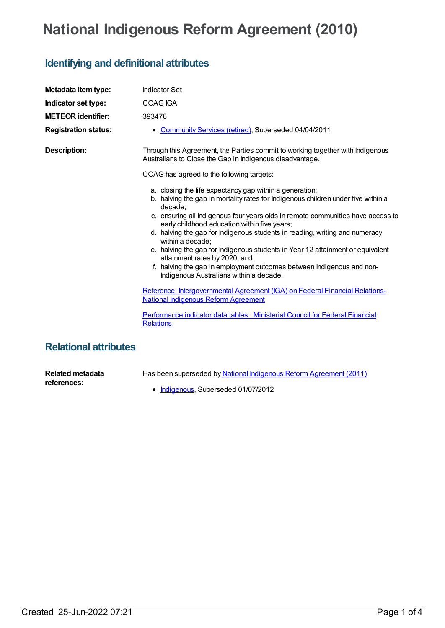## **National Indigenous Reform Agreement (2010)**

## **Identifying and definitional attributes**

| Metadata item type:         | <b>Indicator Set</b>                                                                                                                                                                                                                                                                                                                                                                                                                                                                                                                                                                                                                 |
|-----------------------------|--------------------------------------------------------------------------------------------------------------------------------------------------------------------------------------------------------------------------------------------------------------------------------------------------------------------------------------------------------------------------------------------------------------------------------------------------------------------------------------------------------------------------------------------------------------------------------------------------------------------------------------|
| Indicator set type:         | <b>COAG IGA</b>                                                                                                                                                                                                                                                                                                                                                                                                                                                                                                                                                                                                                      |
| <b>METEOR identifier:</b>   | 393476                                                                                                                                                                                                                                                                                                                                                                                                                                                                                                                                                                                                                               |
| <b>Registration status:</b> | Community Services (retired), Superseded 04/04/2011                                                                                                                                                                                                                                                                                                                                                                                                                                                                                                                                                                                  |
| <b>Description:</b>         | Through this Agreement, the Parties commit to working together with Indigenous<br>Australians to Close the Gap in Indigenous disadvantage.                                                                                                                                                                                                                                                                                                                                                                                                                                                                                           |
|                             | COAG has agreed to the following targets:                                                                                                                                                                                                                                                                                                                                                                                                                                                                                                                                                                                            |
|                             | a. closing the life expectancy gap within a generation;<br>b. halving the gap in mortality rates for Indigenous children under five within a<br>decade:<br>c. ensuring all Indigenous four years olds in remote communities have access to<br>early childhood education within five years;<br>d. halving the gap for Indigenous students in reading, writing and numeracy<br>within a decade:<br>e. halving the gap for Indigenous students in Year 12 attainment or equivalent<br>attainment rates by 2020; and<br>f. halving the gap in employment outcomes between Indigenous and non-<br>Indigenous Australians within a decade. |
|                             | Reference: Intergovernmental Agreement (IGA) on Federal Financial Relations-<br><b>National Indigenous Reform Agreement</b>                                                                                                                                                                                                                                                                                                                                                                                                                                                                                                          |
|                             | Performance indicator data tables: Ministerial Council for Federal Financial<br><b>Relations</b>                                                                                                                                                                                                                                                                                                                                                                                                                                                                                                                                     |
| Relational attributes       |                                                                                                                                                                                                                                                                                                                                                                                                                                                                                                                                                                                                                                      |

## **Relational attributes**

**Related metadata references:**

Has been superseded by National Indigenous Reform [Agreement](https://meteor.aihw.gov.au/content/425730) (2011)

• [Indigenous](https://meteor.aihw.gov.au/RegistrationAuthority/6), Superseded 01/07/2012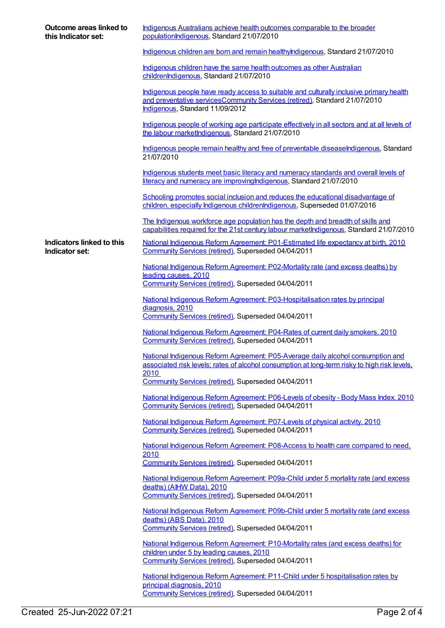| Outcome areas linked to<br>this Indicator set: | Indigenous Australians achieve health outcomes comparable to the broader<br>populationIndigenous, Standard 21/07/2010                                                                                    |
|------------------------------------------------|----------------------------------------------------------------------------------------------------------------------------------------------------------------------------------------------------------|
|                                                | Indigenous children are born and remain healthylndigenous, Standard 21/07/2010                                                                                                                           |
|                                                | Indigenous children have the same health outcomes as other Australian<br>childrenIndigenous, Standard 21/07/2010                                                                                         |
|                                                | Indigenous people have ready access to suitable and culturally inclusive primary health<br>and preventative servicesCommunity Services (retired), Standard 21/07/2010<br>Indigenous, Standard 11/09/2012 |
|                                                | Indigenous people of working age participate effectively in all sectors and at all levels of<br>the labour marketIndigenous, Standard 21/07/2010                                                         |
|                                                | Indigenous people remain healthy and free of preventable diseaseIndigenous, Standard<br>21/07/2010                                                                                                       |
|                                                | Indigenous students meet basic literacy and numeracy standards and overall levels of<br>literacy and numeracy are improving Indigenous, Standard 21/07/2010                                              |
|                                                | Schooling promotes social inclusion and reduces the educational disadvantage of<br>children, especially Indigenous childrenIndigenous, Superseded 01/07/2016                                             |
|                                                | The Indigenous workforce age population has the depth and breadth of skills and<br>capabilities required for the 21st century labour marketIndigenous, Standard 21/07/2010                               |
| Indicators linked to this<br>Indicator set:    | National Indigenous Reform Agreement: P01-Estimated life expectancy at birth, 2010<br>Community Services (retired), Superseded 04/04/2011                                                                |
|                                                | National Indigenous Reform Agreement: P02-Mortality rate (and excess deaths) by<br>leading causes, 2010<br>Community Services (retired), Superseded 04/04/2011                                           |
|                                                |                                                                                                                                                                                                          |
|                                                | National Indigenous Reform Agreement: P03-Hospitalisation rates by principal<br>diagnosis, 2010                                                                                                          |
|                                                | Community Services (retired), Superseded 04/04/2011                                                                                                                                                      |
|                                                | National Indigenous Reform Agreement: P04-Rates of current daily smokers, 2010<br>Community Services (retired), Superseded 04/04/2011                                                                    |
|                                                | National Indigenous Reform Agreement: P05-Average daily alcohol consumption and<br>associated risk levels; rates of alcohol consumption at long-term risky to high risk levels,<br>2010                  |
|                                                | Community Services (retired), Superseded 04/04/2011                                                                                                                                                      |
|                                                | National Indigenous Reform Agreement: P06-Levels of obesity - Body Mass Index, 2010<br>Community Services (retired), Superseded 04/04/2011                                                               |
|                                                | National Indigenous Reform Agreement: P07-Levels of physical activity, 2010                                                                                                                              |
|                                                | Community Services (retired), Superseded 04/04/2011                                                                                                                                                      |
|                                                | National Indigenous Reform Agreement: P08-Access to health care compared to need,<br>2010                                                                                                                |
|                                                | Community Services (retired), Superseded 04/04/2011                                                                                                                                                      |
|                                                | National Indigenous Reform Agreement: P09a-Child under 5 mortality rate (and excess                                                                                                                      |
|                                                | deaths) (AIHW Data), 2010<br>Community Services (retired), Superseded 04/04/2011                                                                                                                         |
|                                                | National Indigenous Reform Agreement: P09b-Child under 5 mortality rate (and excess                                                                                                                      |
|                                                | deaths) (ABS Data), 2010<br>Community Services (retired), Superseded 04/04/2011                                                                                                                          |
|                                                | National Indigenous Reform Agreement: P10-Mortality rates (and excess deaths) for                                                                                                                        |
|                                                | children under 5 by leading causes, 2010                                                                                                                                                                 |
|                                                | Community Services (retired), Superseded 04/04/2011                                                                                                                                                      |
|                                                | National Indigenous Reform Agreement: P11-Child under 5 hospitalisation rates by<br>principal diagnosis, 2010                                                                                            |
|                                                | Community Services (retired), Superseded 04/04/2011                                                                                                                                                      |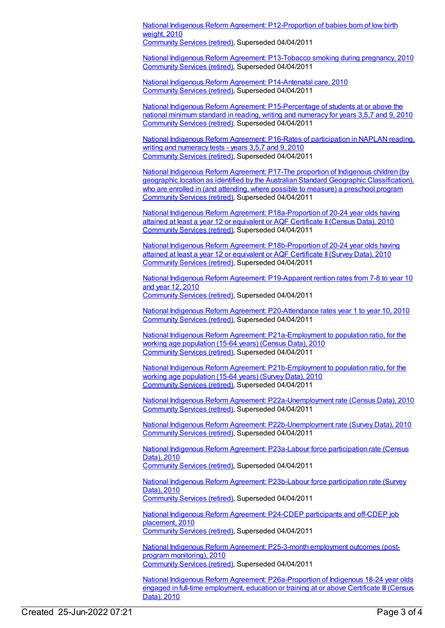National Indigenous Reform Agreement: [P12-Proportion](https://meteor.aihw.gov.au/content/396560) of babies born of low birth weight, 2010 [Community](https://meteor.aihw.gov.au/RegistrationAuthority/1) Services (retired), Superseded 04/04/2011

National Indigenous Reform Agreement: [P13-Tobacco](https://meteor.aihw.gov.au/content/396570) smoking during pregnancy, 2010 [Community](https://meteor.aihw.gov.au/RegistrationAuthority/1) Services (retired), Superseded 04/04/2011

National Indigenous Reform Agreement: [P14-Antenatal](https://meteor.aihw.gov.au/content/396575) care, 2010 [Community](https://meteor.aihw.gov.au/RegistrationAuthority/1) Services (retired), Superseded 04/04/2011

National Indigenous Reform Agreement: [P15-Percentage](https://meteor.aihw.gov.au/content/396578) of students at or above the national minimum standard in reading, writing and numeracy for years 3,5,7 and 9, 2010 [Community](https://meteor.aihw.gov.au/RegistrationAuthority/1) Services (retired), Superseded 04/04/2011

National Indigenous Reform Agreement: P16-Rates of [participation](https://meteor.aihw.gov.au/content/396594) in NAPLAN reading, writing and numeracy tests - years 3,5,7 and 9, 2010 [Community](https://meteor.aihw.gov.au/RegistrationAuthority/1) Services (retired), Superseded 04/04/2011

National Indigenous Reform Agreement: P17-The proportion of Indigenous children (by geographic location as identified by the Australian Standard Geographic [Classification\),](https://meteor.aihw.gov.au/content/396598) who are enrolled in (and attending, where possible to measure) a preschool program [Community](https://meteor.aihw.gov.au/RegistrationAuthority/1) Services (retired), Superseded 04/04/2011

National Indigenous Reform Agreement: [P18a-Proportion](https://meteor.aihw.gov.au/content/396604) of 20-24 year olds having attained at least a year 12 or equivalent or AQF Certificate II(Census Data), 2010 [Community](https://meteor.aihw.gov.au/RegistrationAuthority/1) Services (retired), Superseded 04/04/2011

National Indigenous Reform Agreement: [P18b-Proportion](https://meteor.aihw.gov.au/content/396896) of 20-24 year olds having attained at least a year 12 or equivalent or AQF Certificate II(Survey Data), 2010 [Community](https://meteor.aihw.gov.au/RegistrationAuthority/1) Services (retired), Superseded 04/04/2011

National Indigenous Reform Agreement: [P19-Apparent](https://meteor.aihw.gov.au/content/396609) rention rates from 7-8 to year 10 and year 12, 2010 [Community](https://meteor.aihw.gov.au/RegistrationAuthority/1) Services (retired), Superseded 04/04/2011

National Indigenous Reform Agreement: [P20-Attendance](https://meteor.aihw.gov.au/content/396617) rates year 1 to year 10, 2010 [Community](https://meteor.aihw.gov.au/RegistrationAuthority/1) Services (retired), Superseded 04/04/2011

National Indigenous Reform Agreement: [P21a-Employment](https://meteor.aihw.gov.au/content/396621) to population ratio, for the working age population (15-64 years) (Census Data), 2010 [Community](https://meteor.aihw.gov.au/RegistrationAuthority/1) Services (retired), Superseded 04/04/2011

National Indigenous Reform Agreement: [P21b-Employment](https://meteor.aihw.gov.au/content/396902) to population ratio, for the working age population (15-64 years) (Survey Data), 2010 [Community](https://meteor.aihw.gov.au/RegistrationAuthority/1) Services (retired), Superseded 04/04/2011

National Indigenous Reform Agreement: [P22a-Unemployment](https://meteor.aihw.gov.au/content/396630) rate (Census Data), 2010 [Community](https://meteor.aihw.gov.au/RegistrationAuthority/1) Services (retired), Superseded 04/04/2011

National Indigenous Reform Agreement: [P22b-Unemployment](https://meteor.aihw.gov.au/content/396905) rate (Survey Data), 2010 [Community](https://meteor.aihw.gov.au/RegistrationAuthority/1) Services (retired), Superseded 04/04/2011

National Indigenous Reform Agreement: [P23a-Labour](https://meteor.aihw.gov.au/content/396632) force participation rate (Census Data), 2010

[Community](https://meteor.aihw.gov.au/RegistrationAuthority/1) Services (retired), Superseded 04/04/2011

National Indigenous Reform Agreement: [P23b-Labour](https://meteor.aihw.gov.au/content/396912) force participation rate (Survey Data), 2010 [Community](https://meteor.aihw.gov.au/RegistrationAuthority/1) Services (retired), Superseded 04/04/2011

National Indigenous Reform [Agreement:](https://meteor.aihw.gov.au/content/396637) P24-CDEP participants and off-CDEP job placement, 2010 [Community](https://meteor.aihw.gov.au/RegistrationAuthority/1) Services (retired), Superseded 04/04/2011

National Indigenous Reform Agreement: [P25-3-month](https://meteor.aihw.gov.au/content/396640) employment outcomes (postprogram monitoring), 2010 [Community](https://meteor.aihw.gov.au/RegistrationAuthority/1) Services (retired), Superseded 04/04/2011

National Indigenous Reform Agreement: [P26a-Proportion](https://meteor.aihw.gov.au/content/396647) of Indigenous 18-24 year olds engaged in full-time employment, education or training at or above Certificate III(Census Data), 2010